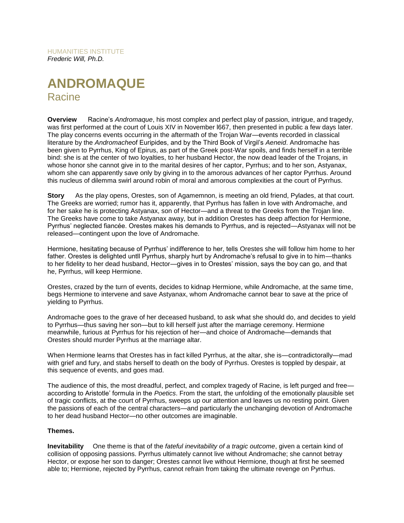HUMANITIES INSTITUTE *Frederic Will, Ph.D.*

# **ANDROMAQUE** Racine

**Overview** Racine's *Andromaque*, his most complex and perfect play of passion, intrigue, and tragedy, was first performed at the court of Louis XIV in November l667, then presented in public a few days later. The play concerns events occurring in the aftermath of the Trojan War—events recorded in classical literature by the *Andromache*of Euripides, and by the Third Book of Virgil's *Aeneid*. Andromache has been given to Pyrrhus, King of Epirus, as part of the Greek post-War spoils, and finds herself in a terrible bind: she is at the center of two loyalties, to her husband Hector, the now dead leader of the Trojans, in whose honor she cannot give in to the marital desires of her captor, Pyrrhus; and to her son, Astyanax, whom she can apparently save only by giving in to the amorous advances of her captor Pyrrhus. Around this nucleus of dilemma swirl around robin of moral and amorous complexities at the court of Pyrrhus.

**Story** As the play opens, Orestes, son of Agamemnon, is meeting an old friend, Pylades, at that court. The Greeks are worried; rumor has it, apparently, that Pyrrhus has fallen in love with Andromache, and for her sake he is protecting Astyanax, son of Hector—and a threat to the Greeks from the Trojan line. The Greeks have come to take Astyanax away, but in addition Orestes has deep affection for Hermione, Pyrrhus' neglected fiancée. Orestes makes his demands to Pyrrhus, and is rejected—Astyanax will not be released—contingent upon the love of Andromache.

Hermione, hesitating because of Pyrrhus' indifference to her, tells Orestes she will follow him home to her father. Orestes is delighted untll Pyrrhus, sharply hurt by Andromache's refusal to give in to him—thanks to her fidelity to her dead husband, Hector—gives in to Orestes' mission, says the boy can go, and that he, Pyrrhus, will keep Hermione.

Orestes, crazed by the turn of events, decides to kidnap Hermione, while Andromache, at the same time, begs Hermione to intervene and save Astyanax, whom Andromache cannot bear to save at the price of yielding to Pyrrhus.

Andromache goes to the grave of her deceased husband, to ask what she should do, and decides to yield to Pyrrhus—thus saving her son—but to kill herself just after the marriage ceremony. Hermione meanwhile, furious at Pyrrhus for his rejection of her—and choice of Andromache—demands that Orestes should murder Pyrrhus at the marriage altar.

When Hermione learns that Orestes has in fact killed Pyrrhus, at the altar, she is—contradictorally—mad with grief and fury, and stabs herself to death on the body of Pyrrhus. Orestes is toppled by despair, at this sequence of events, and goes mad.

The audience of this, the most dreadful, perfect, and complex tragedy of Racine, is left purged and free according to Aristotle' formula in the *Poetics*. From the start, the unfolding of the emotionally plausible set of tragic conflicts, at the court of Pyrrhus, sweeps up our attention and leaves us no resting point. Given the passions of each of the central characters—and particularly the unchanging devotion of Andromache to her dead husband Hector—no other outcomes are imaginable.

#### **Themes.**

**Inevitability** One theme is that of the *fateful inevitability of a tragic outcome*, given a certain kind of collision of opposing passions. Pyrrhus ultimately cannot live without Andromache; she cannot betray Hector, or expose her son to danger; Orestes cannot live without Hermione, though at first he seemed able to; Hermione, rejected by Pyrrhus, cannot refrain from taking the ultimate revenge on Pyrrhus.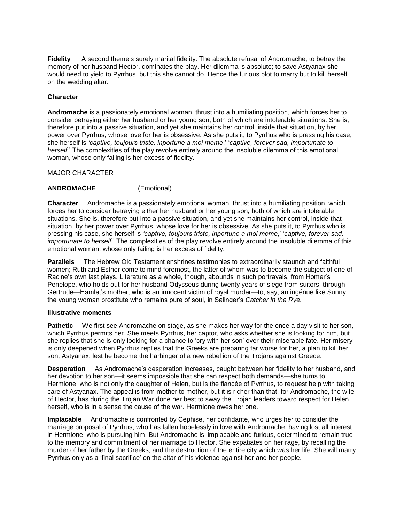**Fidelity** A second themeis surely marital fidelity. The absolute refusal of Andromache, to betray the memory of her husband Hector, dominates the play. Her dilemma is absolute; to save Astyanax she would need to yield to Pyrrhus, but this she cannot do. Hence the furious plot to marry but to kill herself on the wedding altar.

## **Character**

**Andromache** is a passionately emotional woman, thrust into a humiliating position, which forces her to consider betraying either her husband or her young son, both of which are intolerable situations. She is, therefore put into a passive situation, and yet she maintains her control, inside that situation, by her power over Pyrrhus, whose love for her is obsessive. As she puts it, to Pyrrhus who is pressing his case, she herself is *'captive, toujours triste, inportune a moi meme*,' '*captive, forever sad, importunate to herself.*' The complexities of the play revolve entirely around the insoluble dilemma of this emotional woman, whose only failing is her excess of fidelity.

MAJOR CHARACTER

## **ANDROMACHE** (Emotional)

**Character** Andromache is a passionately emotional woman, thrust into a humiliating position, which forces her to consider betraying either her husband or her young son, both of which are intolerable situations. She is, therefore put into a passive situation, and yet she maintains her control, inside that situation, by her power over Pyrrhus, whose love for her is obsessive. As she puts it, to Pyrrhus who is pressing his case, she herself is *'captive, toujours triste, inportune a moi meme*,' '*captive, forever sad, importunate to herself.*' The complexities of the play revolve entirely around the insoluble dilemma of this emotional woman, whose only failing is her excess of fidelity.

**Parallels** The Hebrew Old Testament enshrines testimonies to extraordinarily staunch and faithful women; Ruth and Esther come to mind foremost, the latter of whom was to become the subject of one of Racine's own last plays. Literature as a whole, though, abounds in such portrayals, from Homer's Penelope, who holds out for her husband Odysseus during twenty years of siege from suitors, through Gertrude—Hamlet's mother, who is an innocent victim of royal murder—to, say, an ingénue like Sunny, the young woman prostitute who remains pure of soul, in Salinger's *Catcher in the Rye.*

#### **Illustrative moments**

**Pathetic** We first see Andromache on stage, as she makes her way for the once a day visit to her son, which Pyrrhus permits her. She meets Pyrrhus, her captor, who asks whether she is looking for him, but she replies that she is only looking for a chance to 'cry with her son' over their miserable fate. Her misery is only deepened when Pyrrhus replies that the Greeks are preparing far worse for her, a plan to kill her son, Astyanax, lest he become the harbinger of a new rebellion of the Trojans against Greece.

**Desperation** As Andromache's desperation increases, caught between her fidelity to her husband, and her devotion to her son—it seems impossible that she can respect both demands—she turns to Hermione, who is not only the daughter of Helen, but is the fiancée of Pyrrhus, to request help with taking care of Astyanax. The appeal is from mother to mother, but it is richer than that, for Andromache, the wife of Hector, has during the Trojan War done her best to sway the Trojan leaders toward respect for Helen herself, who is in a sense the cause of the war. Hermione owes her one.

**Implacable** Andromache is confronted by Cephise, her confidante, who urges her to consider the marriage proposal of Pyrrhus, who has fallen hopelessly in love with Andromache, having lost all interest in Hermione, who is pursuing him. But Andromache is iimplacable and furious, determined to remain true to the memory and commitment of her marriage to Hector. She expatiates on her rage, by recalling the murder of her father by the Greeks, and the destruction of the entire city which was her life. She will marry Pyrrhus only as a 'final sacrifice' on the altar of his violence against her and her people.